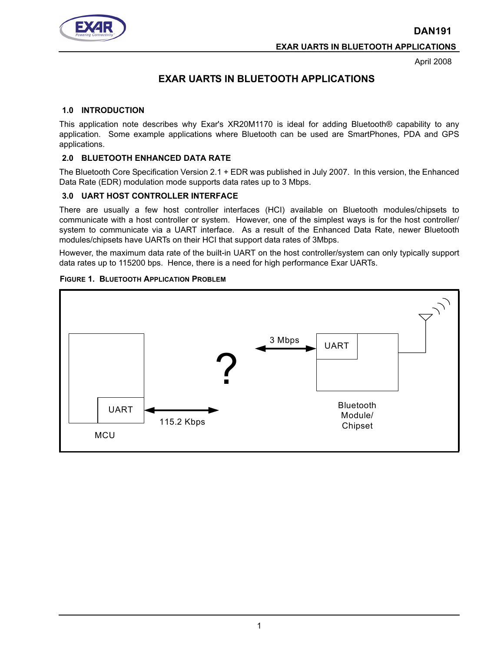**DAN191**



**EXAR UARTS IN BLUETOOTH APPLICATIONS**

April 2008

# **EXAR UARTS IN BLUETOOTH APPLICATIONS**

# **1.0 INTRODUCTION**

This application note describes why Exar's XR20M1170 is ideal for adding Bluetooth® capability to any application. Some example applications where Bluetooth can be used are SmartPhones, PDA and GPS applications.

# **2.0 BLUETOOTH ENHANCED DATA RATE**

The Bluetooth Core Specification Version 2.1 + EDR was published in July 2007. In this version, the Enhanced Data Rate (EDR) modulation mode supports data rates up to 3 Mbps.

# **3.0 UART HOST CONTROLLER INTERFACE**

There are usually a few host controller interfaces (HCI) available on Bluetooth modules/chipsets to communicate with a host controller or system. However, one of the simplest ways is for the host controller/ system to communicate via a UART interface. As a result of the Enhanced Data Rate, newer Bluetooth modules/chipsets have UARTs on their HCI that support data rates of 3Mbps.

However, the maximum data rate of the built-in UART on the host controller/system can only typically support data rates up to 115200 bps. Hence, there is a need for high performance Exar UARTs.



#### **FIGURE 1. BLUETOOTH APPLICATION PROBLEM**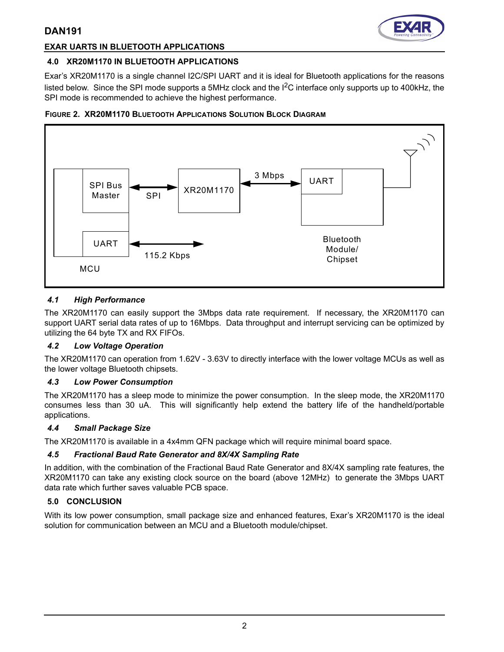

# **EXAR UARTS IN BLUETOOTH APPLICATIONS**

# **4.0 XR20M1170 IN BLUETOOTH APPLICATIONS**

Exar's XR20M1170 is a single channel I2C/SPI UART and it is ideal for Bluetooth applications for the reasons listed below. Since the SPI mode supports a 5MHz clock and the  $1<sup>2</sup>C$  interface only supports up to 400kHz, the SPI mode is recommended to achieve the highest performance.





# *4.1 High Performance*

The XR20M1170 can easily support the 3Mbps data rate requirement. If necessary, the XR20M1170 can support UART serial data rates of up to 16Mbps. Data throughput and interrupt servicing can be optimized by utilizing the 64 byte TX and RX FIFOs.

# *4.2 Low Voltage Operation*

The XR20M1170 can operation from 1.62V - 3.63V to directly interface with the lower voltage MCUs as well as the lower voltage Bluetooth chipsets.

# *4.3 Low Power Consumption*

The XR20M1170 has a sleep mode to minimize the power consumption. In the sleep mode, the XR20M1170 consumes less than 30 uA. This will significantly help extend the battery life of the handheld/portable applications.

# *4.4 Small Package Size*

The XR20M1170 is available in a 4x4mm QFN package which will require minimal board space.

# *4.5 Fractional Baud Rate Generator and 8X/4X Sampling Rate*

In addition, with the combination of the Fractional Baud Rate Generator and 8X/4X sampling rate features, the XR20M1170 can take any existing clock source on the board (above 12MHz) to generate the 3Mbps UART data rate which further saves valuable PCB space.

# **5.0 CONCLUSION**

With its low power consumption, small package size and enhanced features, Exar's XR20M1170 is the ideal solution for communication between an MCU and a Bluetooth module/chipset.